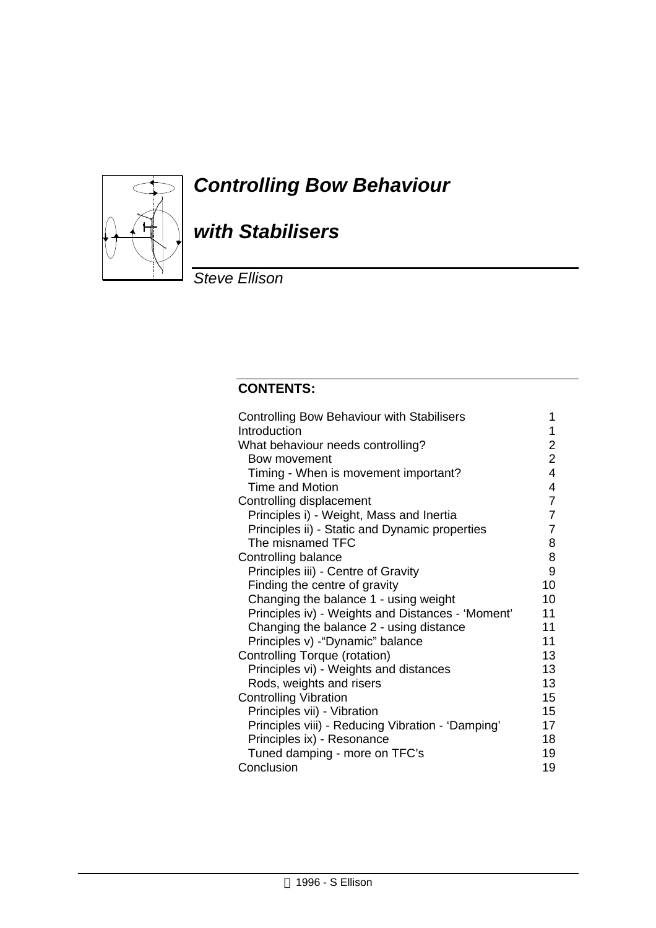

# *Controlling Bow Behaviour*

# *with Stabilisers*

*Steve Ellison*

## **CONTENTS:**

| <b>Controlling Bow Behaviour with Stabilisers</b> | 1              |
|---------------------------------------------------|----------------|
| Introduction                                      | 1              |
| What behaviour needs controlling?                 | 2              |
| Bow movement                                      | $\overline{2}$ |
| Timing - When is movement important?              | 4              |
| Time and Motion                                   | 4              |
| Controlling displacement                          | 7              |
| Principles i) - Weight, Mass and Inertia          | 7              |
| Principles ii) - Static and Dynamic properties    | $\overline{7}$ |
| The misnamed TFC                                  | 8              |
| Controlling balance                               | 8              |
| Principles iii) - Centre of Gravity               | 9              |
| Finding the centre of gravity                     | 10             |
| Changing the balance 1 - using weight             | 10             |
| Principles iv) - Weights and Distances - 'Moment' | 11             |
| Changing the balance 2 - using distance           | 11             |
| Principles v) - "Dynamic" balance                 | 11             |
| Controlling Torque (rotation)                     | 13             |
| Principles vi) - Weights and distances            | 13             |
| Rods, weights and risers                          | 13             |
| <b>Controlling Vibration</b>                      | 15             |
| Principles vii) - Vibration                       | 15             |
| Principles viii) - Reducing Vibration - 'Damping' | 17             |
| Principles ix) - Resonance                        | 18             |
| Tuned damping - more on TFC's                     | 19             |
| Conclusion                                        | 19             |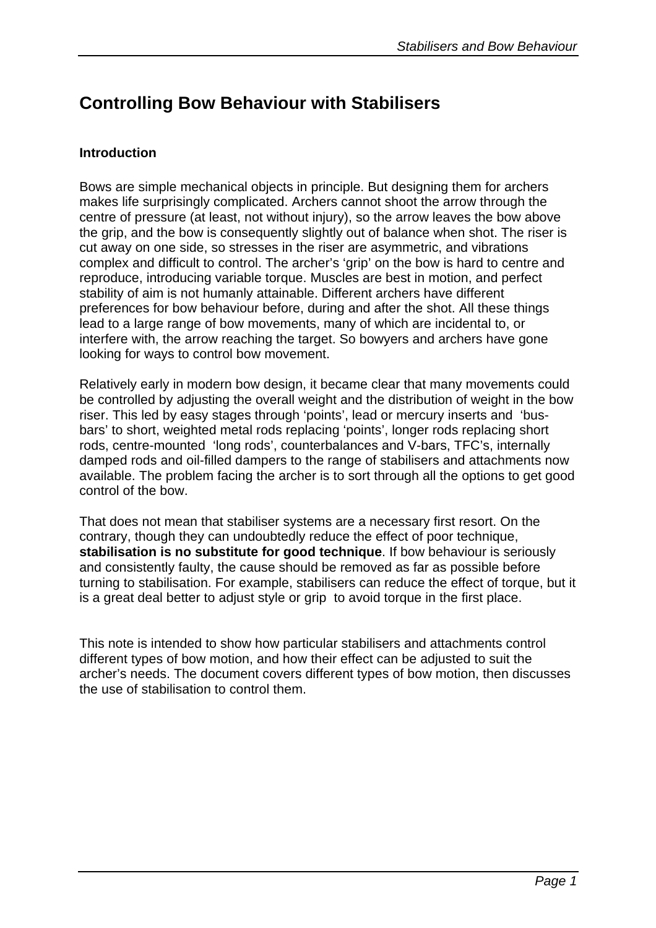## **Controlling Bow Behaviour with Stabilisers**

## **Introduction**

Bows are simple mechanical objects in principle. But designing them for archers makes life surprisingly complicated. Archers cannot shoot the arrow through the centre of pressure (at least, not without injury), so the arrow leaves the bow above the grip, and the bow is consequently slightly out of balance when shot. The riser is cut away on one side, so stresses in the riser are asymmetric, and vibrations complex and difficult to control. The archer's 'grip' on the bow is hard to centre and reproduce, introducing variable torque. Muscles are best in motion, and perfect stability of aim is not humanly attainable. Different archers have different preferences for bow behaviour before, during and after the shot. All these things lead to a large range of bow movements, many of which are incidental to, or interfere with, the arrow reaching the target. So bowyers and archers have gone looking for ways to control bow movement.

Relatively early in modern bow design, it became clear that many movements could be controlled by adjusting the overall weight and the distribution of weight in the bow riser. This led by easy stages through 'points', lead or mercury inserts and 'busbars' to short, weighted metal rods replacing 'points', longer rods replacing short rods, centre-mounted 'long rods', counterbalances and V-bars, TFC's, internally damped rods and oil-filled dampers to the range of stabilisers and attachments now available. The problem facing the archer is to sort through all the options to get good control of the bow.

That does not mean that stabiliser systems are a necessary first resort. On the contrary, though they can undoubtedly reduce the effect of poor technique, **stabilisation is no substitute for good technique**. If bow behaviour is seriously and consistently faulty, the cause should be removed as far as possible before turning to stabilisation. For example, stabilisers can reduce the effect of torque, but it is a great deal better to adjust style or grip to avoid torque in the first place.

This note is intended to show how particular stabilisers and attachments control different types of bow motion, and how their effect can be adjusted to suit the archer's needs. The document covers different types of bow motion, then discusses the use of stabilisation to control them.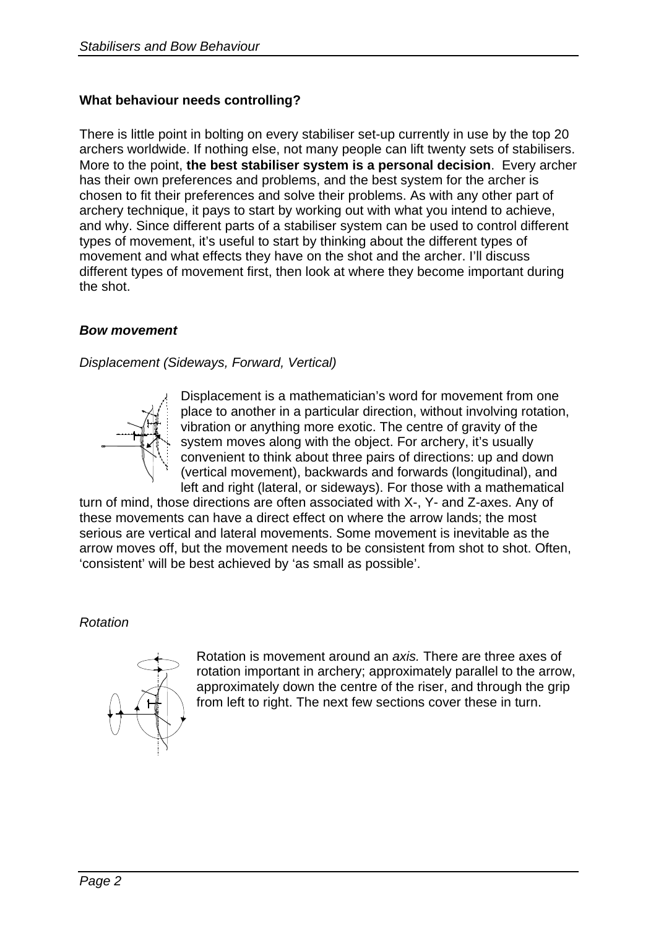## **What behaviour needs controlling?**

There is little point in bolting on every stabiliser set-up currently in use by the top 20 archers worldwide. If nothing else, not many people can lift twenty sets of stabilisers. More to the point, **the best stabiliser system is a personal decision**. Every archer has their own preferences and problems, and the best system for the archer is chosen to fit their preferences and solve their problems. As with any other part of archery technique, it pays to start by working out with what you intend to achieve, and why. Since different parts of a stabiliser system can be used to control different types of movement, it's useful to start by thinking about the different types of movement and what effects they have on the shot and the archer. I'll discuss different types of movement first, then look at where they become important during the shot.

## *Bow movement*

*Displacement (Sideways, Forward, Vertical)*



Displacement is a mathematician's word for movement from one place to another in a particular direction, without involving rotation, vibration or anything more exotic. The centre of gravity of the system moves along with the object. For archery, it's usually convenient to think about three pairs of directions: up and down (vertical movement), backwards and forwards (longitudinal), and left and right (lateral, or sideways). For those with a mathematical

turn of mind, those directions are often associated with X-, Y- and Z-axes. Any of these movements can have a direct effect on where the arrow lands; the most serious are vertical and lateral movements. Some movement is inevitable as the arrow moves off, but the movement needs to be consistent from shot to shot. Often, 'consistent' will be best achieved by 'as small as possible'.

*Rotation*



Rotation is movement around an *axis.* There are three axes of rotation important in archery; approximately parallel to the arrow, approximately down the centre of the riser, and through the grip from left to right. The next few sections cover these in turn.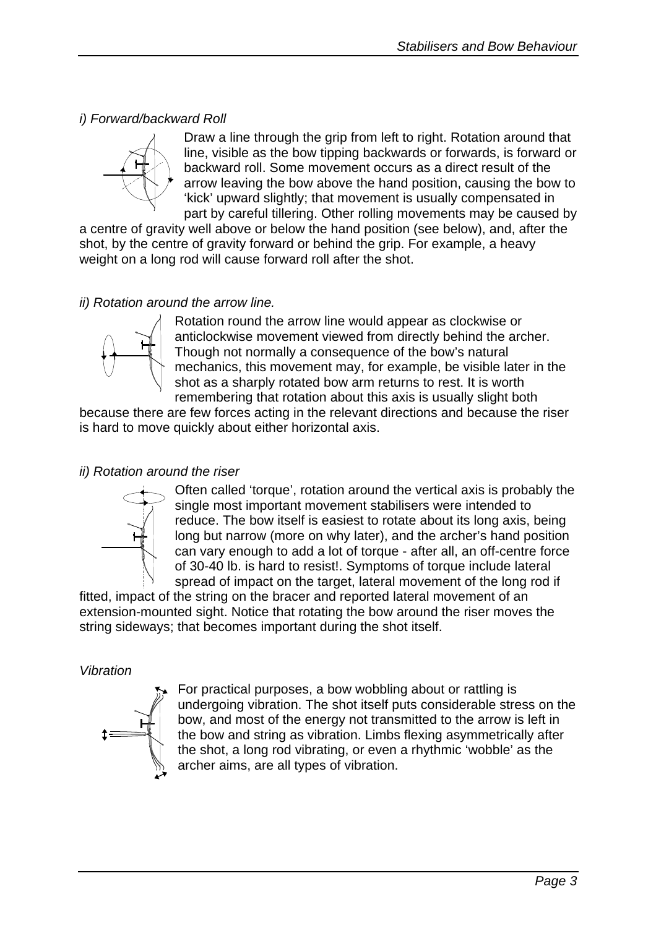## *i) Forward/backward Roll*



Draw a line through the grip from left to right. Rotation around that line, visible as the bow tipping backwards or forwards, is forward or backward roll. Some movement occurs as a direct result of the arrow leaving the bow above the hand position, causing the bow to 'kick' upward slightly; that movement is usually compensated in part by careful tillering. Other rolling movements may be caused by

a centre of gravity well above or below the hand position (see below), and, after the shot, by the centre of gravity forward or behind the grip. For example, a heavy weight on a long rod will cause forward roll after the shot.

## *ii) Rotation around the arrow line.*



Rotation round the arrow line would appear as clockwise or anticlockwise movement viewed from directly behind the archer. Though not normally a consequence of the bow's natural mechanics, this movement may, for example, be visible later in the shot as a sharply rotated bow arm returns to rest. It is worth remembering that rotation about this axis is usually slight both

because there are few forces acting in the relevant directions and because the riser is hard to move quickly about either horizontal axis.

## *ii) Rotation around the riser*



Often called 'torque', rotation around the vertical axis is probably the single most important movement stabilisers were intended to reduce. The bow itself is easiest to rotate about its long axis, being long but narrow (more on why later), and the archer's hand position can vary enough to add a lot of torque - after all, an off-centre force of 30-40 lb. is hard to resist!. Symptoms of torque include lateral spread of impact on the target, lateral movement of the long rod if

fitted, impact of the string on the bracer and reported lateral movement of an extension-mounted sight. Notice that rotating the bow around the riser moves the string sideways; that becomes important during the shot itself.

### *Vibration*



For practical purposes, a bow wobbling about or rattling is undergoing vibration. The shot itself puts considerable stress on the bow, and most of the energy not transmitted to the arrow is left in the bow and string as vibration. Limbs flexing asymmetrically after the shot, a long rod vibrating, or even a rhythmic 'wobble' as the archer aims, are all types of vibration.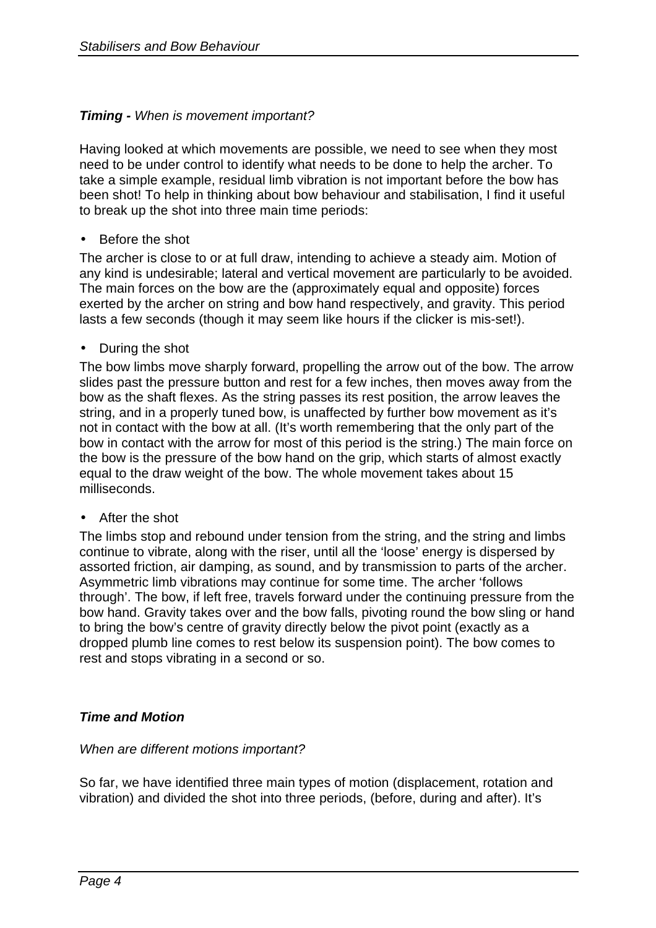## *Timing - When is movement important?*

Having looked at which movements are possible, we need to see when they most need to be under control to identify what needs to be done to help the archer. To take a simple example, residual limb vibration is not important before the bow has been shot! To help in thinking about bow behaviour and stabilisation, I find it useful to break up the shot into three main time periods:

### • Before the shot

The archer is close to or at full draw, intending to achieve a steady aim. Motion of any kind is undesirable; lateral and vertical movement are particularly to be avoided. The main forces on the bow are the (approximately equal and opposite) forces exerted by the archer on string and bow hand respectively, and gravity. This period lasts a few seconds (though it may seem like hours if the clicker is mis-set!).

### • During the shot

The bow limbs move sharply forward, propelling the arrow out of the bow. The arrow slides past the pressure button and rest for a few inches, then moves away from the bow as the shaft flexes. As the string passes its rest position, the arrow leaves the string, and in a properly tuned bow, is unaffected by further bow movement as it's not in contact with the bow at all. (It's worth remembering that the only part of the bow in contact with the arrow for most of this period is the string.) The main force on the bow is the pressure of the bow hand on the grip, which starts of almost exactly equal to the draw weight of the bow. The whole movement takes about 15 milliseconds.

### • After the shot

The limbs stop and rebound under tension from the string, and the string and limbs continue to vibrate, along with the riser, until all the 'loose' energy is dispersed by assorted friction, air damping, as sound, and by transmission to parts of the archer. Asymmetric limb vibrations may continue for some time. The archer 'follows through'. The bow, if left free, travels forward under the continuing pressure from the bow hand. Gravity takes over and the bow falls, pivoting round the bow sling or hand to bring the bow's centre of gravity directly below the pivot point (exactly as a dropped plumb line comes to rest below its suspension point). The bow comes to rest and stops vibrating in a second or so.

### *Time and Motion*

#### *When are different motions important?*

So far, we have identified three main types of motion (displacement, rotation and vibration) and divided the shot into three periods, (before, during and after). It's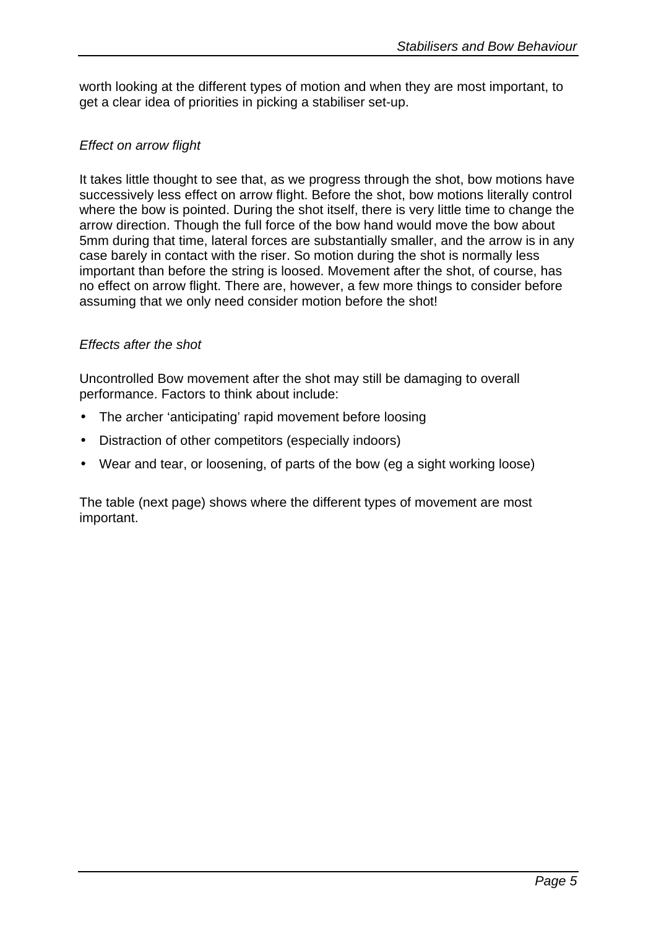worth looking at the different types of motion and when they are most important, to get a clear idea of priorities in picking a stabiliser set-up.

## *Effect on arrow flight*

It takes little thought to see that, as we progress through the shot, bow motions have successively less effect on arrow flight. Before the shot, bow motions literally control where the bow is pointed. During the shot itself, there is very little time to change the arrow direction. Though the full force of the bow hand would move the bow about 5mm during that time, lateral forces are substantially smaller, and the arrow is in any case barely in contact with the riser. So motion during the shot is normally less important than before the string is loosed. Movement after the shot, of course, has no effect on arrow flight. There are, however, a few more things to consider before assuming that we only need consider motion before the shot!

## *Effects after the shot*

Uncontrolled Bow movement after the shot may still be damaging to overall performance. Factors to think about include:

- The archer 'anticipating' rapid movement before loosing
- Distraction of other competitors (especially indoors)
- Wear and tear, or loosening, of parts of the bow (eg a sight working loose)

The table (next page) shows where the different types of movement are most important.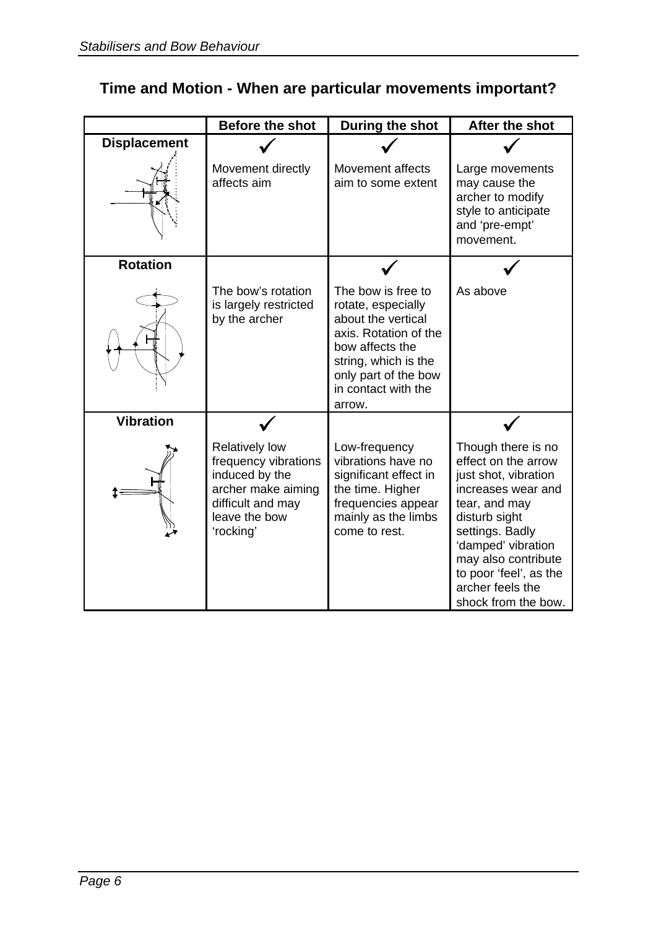|                     | <b>Before the shot</b>                                                                                                                   | During the shot                                                                                                                                                                             | After the shot                                                                                                                                                                            |
|---------------------|------------------------------------------------------------------------------------------------------------------------------------------|---------------------------------------------------------------------------------------------------------------------------------------------------------------------------------------------|-------------------------------------------------------------------------------------------------------------------------------------------------------------------------------------------|
| <b>Displacement</b> |                                                                                                                                          |                                                                                                                                                                                             |                                                                                                                                                                                           |
|                     | Movement directly<br>affects aim                                                                                                         | Movement affects<br>aim to some extent                                                                                                                                                      | Large movements<br>may cause the<br>archer to modify<br>style to anticipate<br>and 'pre-empt'<br>movement.                                                                                |
| <b>Rotation</b>     |                                                                                                                                          |                                                                                                                                                                                             |                                                                                                                                                                                           |
|                     | The bow's rotation<br>is largely restricted<br>by the archer                                                                             | The bow is free to<br>rotate, especially<br>about the vertical<br>axis. Rotation of the<br>bow affects the<br>string, which is the<br>only part of the bow<br>in contact with the<br>arrow. | As above                                                                                                                                                                                  |
| <b>Vibration</b>    |                                                                                                                                          |                                                                                                                                                                                             |                                                                                                                                                                                           |
|                     | <b>Relatively low</b><br>frequency vibrations<br>induced by the<br>archer make aiming<br>difficult and may<br>leave the bow<br>'rocking' | Low-frequency<br>vibrations have no<br>significant effect in<br>the time. Higher<br>frequencies appear<br>mainly as the limbs<br>come to rest.                                              | Though there is no<br>effect on the arrow<br>just shot, vibration<br>increases wear and<br>tear, and may<br>disturb sight<br>settings. Badly<br>'damped' vibration<br>may also contribute |
|                     |                                                                                                                                          |                                                                                                                                                                                             | to poor 'feel', as the<br>archer feels the<br>shock from the bow.                                                                                                                         |

# **Time and Motion - When are particular movements important?**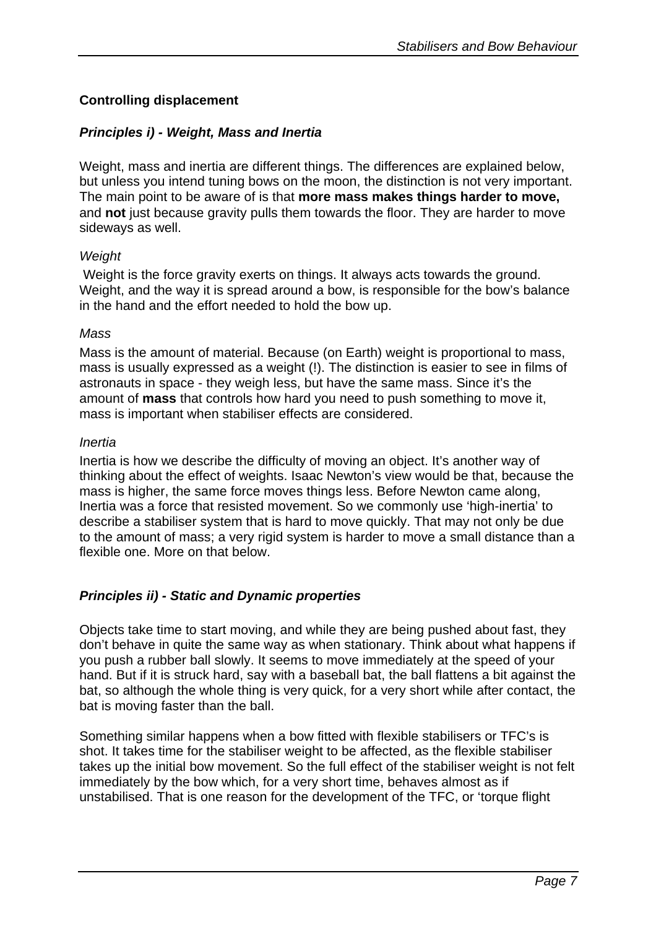## **Controlling displacement**

## *Principles i) - Weight, Mass and Inertia*

Weight, mass and inertia are different things. The differences are explained below, but unless you intend tuning bows on the moon, the distinction is not very important. The main point to be aware of is that **more mass makes things harder to move,** and **not** just because gravity pulls them towards the floor. They are harder to move sideways as well.

#### *Weight*

 Weight is the force gravity exerts on things. It always acts towards the ground. Weight, and the way it is spread around a bow, is responsible for the bow's balance in the hand and the effort needed to hold the bow up.

#### *Mass*

Mass is the amount of material. Because (on Earth) weight is proportional to mass, mass is usually expressed as a weight (!). The distinction is easier to see in films of astronauts in space - they weigh less, but have the same mass. Since it's the amount of **mass** that controls how hard you need to push something to move it, mass is important when stabiliser effects are considered.

#### *Inertia*

Inertia is how we describe the difficulty of moving an object. It's another way of thinking about the effect of weights. Isaac Newton's view would be that, because the mass is higher, the same force moves things less. Before Newton came along, Inertia was a force that resisted movement. So we commonly use 'high-inertia' to describe a stabiliser system that is hard to move quickly. That may not only be due to the amount of mass; a very rigid system is harder to move a small distance than a flexible one. More on that below.

### *Principles ii) - Static and Dynamic properties*

Objects take time to start moving, and while they are being pushed about fast, they don't behave in quite the same way as when stationary. Think about what happens if you push a rubber ball slowly. It seems to move immediately at the speed of your hand. But if it is struck hard, say with a baseball bat, the ball flattens a bit against the bat, so although the whole thing is very quick, for a very short while after contact, the bat is moving faster than the ball.

Something similar happens when a bow fitted with flexible stabilisers or TFC's is shot. It takes time for the stabiliser weight to be affected, as the flexible stabiliser takes up the initial bow movement. So the full effect of the stabiliser weight is not felt immediately by the bow which, for a very short time, behaves almost as if unstabilised. That is one reason for the development of the TFC, or 'torque flight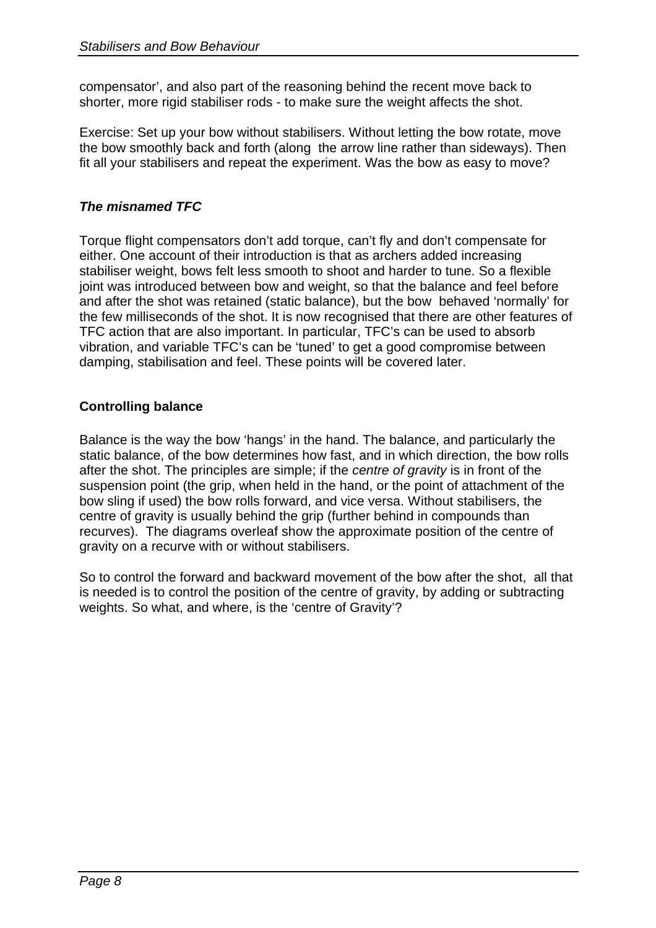compensator', and also part of the reasoning behind the recent move back to shorter, more rigid stabiliser rods - to make sure the weight affects the shot.

Exercise: Set up your bow without stabilisers. Without letting the bow rotate, move the bow smoothly back and forth (along the arrow line rather than sideways). Then fit all your stabilisers and repeat the experiment. Was the bow as easy to move?

## *The misnamed TFC*

Torque flight compensators don't add torque, can't fly and don't compensate for either. One account of their introduction is that as archers added increasing stabiliser weight, bows felt less smooth to shoot and harder to tune. So a flexible joint was introduced between bow and weight, so that the balance and feel before and after the shot was retained (static balance), but the bow behaved 'normally' for the few milliseconds of the shot. It is now recognised that there are other features of TFC action that are also important. In particular, TFC's can be used to absorb vibration, and variable TFC's can be 'tuned' to get a good compromise between damping, stabilisation and feel. These points will be covered later.

## **Controlling balance**

Balance is the way the bow 'hangs' in the hand. The balance, and particularly the static balance, of the bow determines how fast, and in which direction, the bow rolls after the shot. The principles are simple; if the *centre of gravity* is in front of the suspension point (the grip, when held in the hand, or the point of attachment of the bow sling if used) the bow rolls forward, and vice versa. Without stabilisers, the centre of gravity is usually behind the grip (further behind in compounds than recurves). The diagrams overleaf show the approximate position of the centre of gravity on a recurve with or without stabilisers.

So to control the forward and backward movement of the bow after the shot, all that is needed is to control the position of the centre of gravity, by adding or subtracting weights. So what, and where, is the 'centre of Gravity'?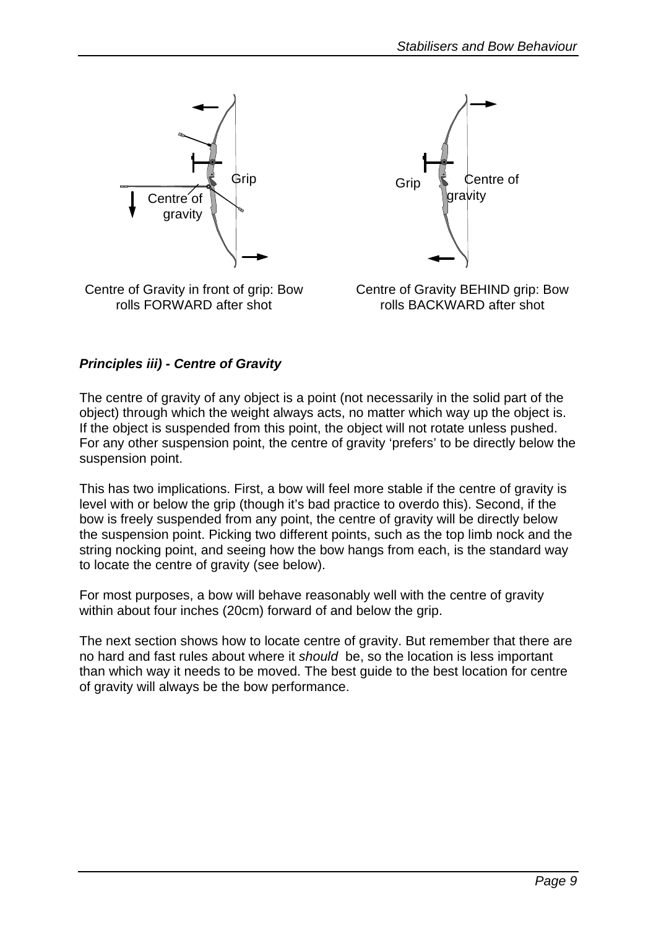

Centre of Gravity in front of grip: Bow rolls FORWARD after shot



Centre of Gravity BEHIND grip: Bow rolls BACKWARD after shot

## *Principles iii) - Centre of Gravity*

The centre of gravity of any object is a point (not necessarily in the solid part of the object) through which the weight always acts, no matter which way up the object is. If the object is suspended from this point, the object will not rotate unless pushed. For any other suspension point, the centre of gravity 'prefers' to be directly below the suspension point.

This has two implications. First, a bow will feel more stable if the centre of gravity is level with or below the grip (though it's bad practice to overdo this). Second, if the bow is freely suspended from any point, the centre of gravity will be directly below the suspension point. Picking two different points, such as the top limb nock and the string nocking point, and seeing how the bow hangs from each, is the standard way to locate the centre of gravity (see below).

For most purposes, a bow will behave reasonably well with the centre of gravity within about four inches (20cm) forward of and below the grip.

The next section shows how to locate centre of gravity. But remember that there are no hard and fast rules about where it *should* be, so the location is less important than which way it needs to be moved. The best guide to the best location for centre of gravity will always be the bow performance.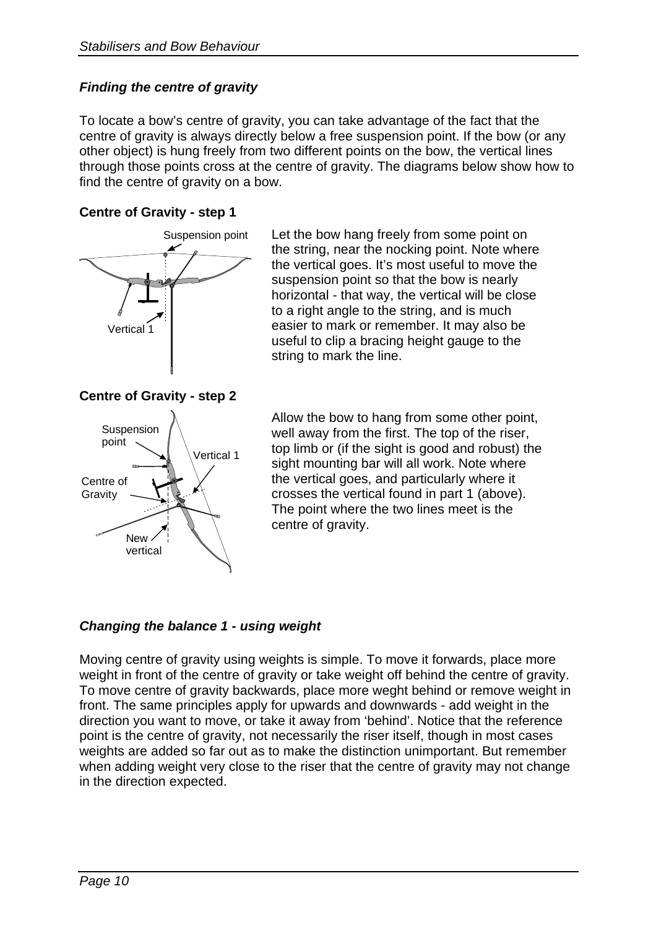## *Finding the centre of gravity*

To locate a bow's centre of gravity, you can take advantage of the fact that the centre of gravity is always directly below a free suspension point. If the bow (or any other object) is hung freely from two different points on the bow, the vertical lines through those points cross at the centre of gravity. The diagrams below show how to find the centre of gravity on a bow.

## **Centre of Gravity - step 1**



Suspension point Let the bow hang freely from some point on the string, near the nocking point. Note where the vertical goes. It's most useful to move the suspension point so that the bow is nearly horizontal - that way, the vertical will be close to a right angle to the string, and is much easier to mark or remember. It may also be useful to clip a bracing height gauge to the string to mark the line.

> Allow the bow to hang from some other point, well away from the first. The top of the riser, top limb or (if the sight is good and robust) the sight mounting bar will all work. Note where the vertical goes, and particularly where it crosses the vertical found in part 1 (above). The point where the two lines meet is the centre of gravity.

## *Changing the balance 1 - using weight*

Moving centre of gravity using weights is simple. To move it forwards, place more weight in front of the centre of gravity or take weight off behind the centre of gravity. To move centre of gravity backwards, place more weght behind or remove weight in front. The same principles apply for upwards and downwards - add weight in the direction you want to move, or take it away from 'behind'. Notice that the reference point is the centre of gravity, not necessarily the riser itself, though in most cases weights are added so far out as to make the distinction unimportant. But remember when adding weight very close to the riser that the centre of gravity may not change in the direction expected.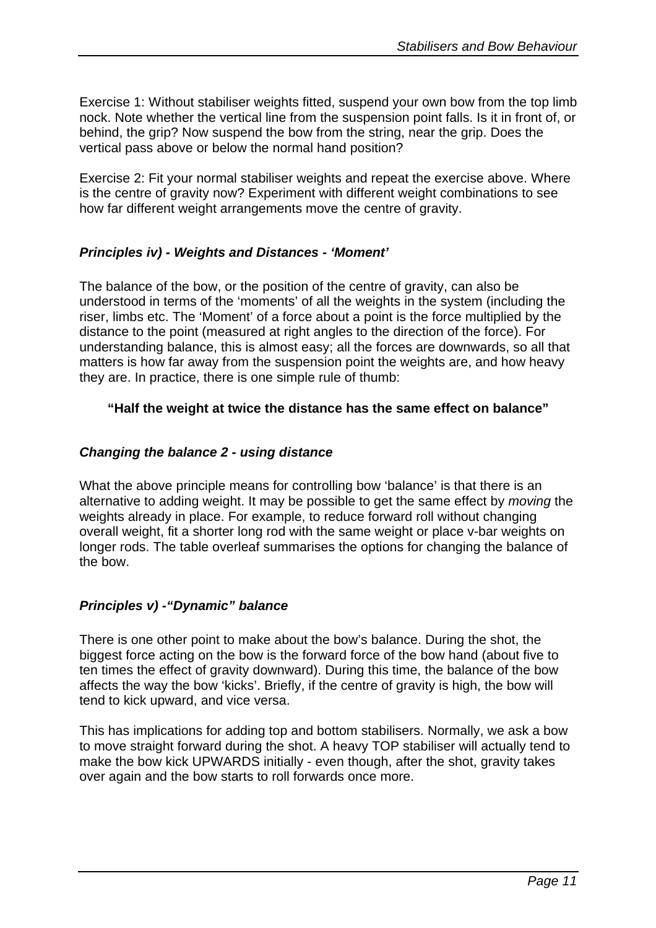Exercise 1: Without stabiliser weights fitted, suspend your own bow from the top limb nock. Note whether the vertical line from the suspension point falls. Is it in front of, or behind, the grip? Now suspend the bow from the string, near the grip. Does the vertical pass above or below the normal hand position?

Exercise 2: Fit your normal stabiliser weights and repeat the exercise above. Where is the centre of gravity now? Experiment with different weight combinations to see how far different weight arrangements move the centre of gravity.

## *Principles iv) - Weights and Distances - 'Moment'*

The balance of the bow, or the position of the centre of gravity, can also be understood in terms of the 'moments' of all the weights in the system (including the riser, limbs etc. The 'Moment' of a force about a point is the force multiplied by the distance to the point (measured at right angles to the direction of the force). For understanding balance, this is almost easy; all the forces are downwards, so all that matters is how far away from the suspension point the weights are, and how heavy they are. In practice, there is one simple rule of thumb:

## **"Half the weight at twice the distance has the same effect on balance"**

## *Changing the balance 2 - using distance*

What the above principle means for controlling bow 'balance' is that there is an alternative to adding weight. It may be possible to get the same effect by *moving* the weights already in place. For example, to reduce forward roll without changing overall weight, fit a shorter long rod with the same weight or place v-bar weights on longer rods. The table overleaf summarises the options for changing the balance of the bow.

## *Principles v) -"Dynamic" balance*

There is one other point to make about the bow's balance. During the shot, the biggest force acting on the bow is the forward force of the bow hand (about five to ten times the effect of gravity downward). During this time, the balance of the bow affects the way the bow 'kicks'. Briefly, if the centre of gravity is high, the bow will tend to kick upward, and vice versa.

This has implications for adding top and bottom stabilisers. Normally, we ask a bow to move straight forward during the shot. A heavy TOP stabiliser will actually tend to make the bow kick UPWARDS initially - even though, after the shot, gravity takes over again and the bow starts to roll forwards once more.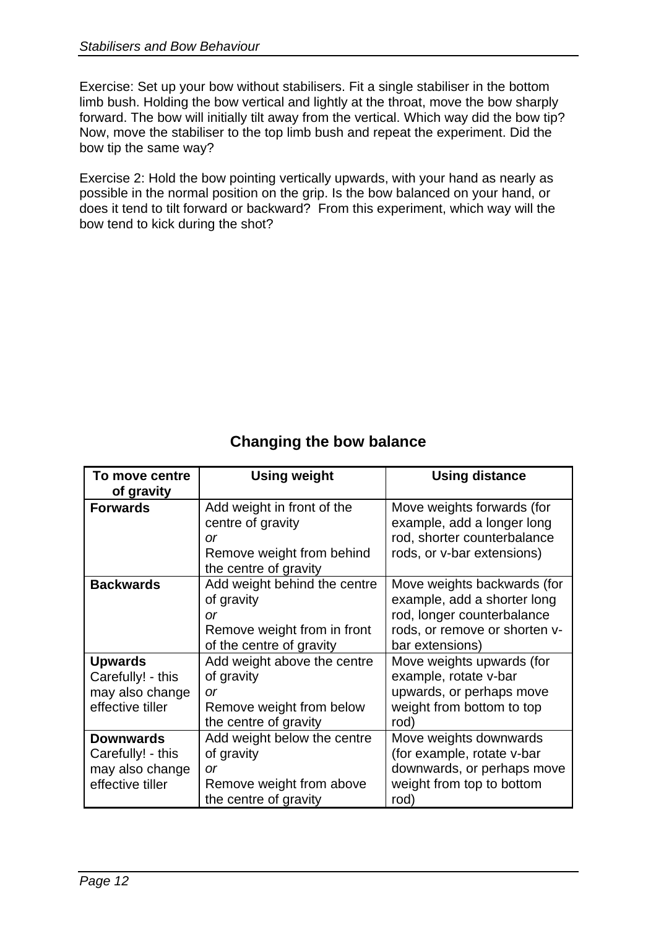Exercise: Set up your bow without stabilisers. Fit a single stabiliser in the bottom limb bush. Holding the bow vertical and lightly at the throat, move the bow sharply forward. The bow will initially tilt away from the vertical. Which way did the bow tip? Now, move the stabiliser to the top limb bush and repeat the experiment. Did the bow tip the same way?

Exercise 2: Hold the bow pointing vertically upwards, with your hand as nearly as possible in the normal position on the grip. Is the bow balanced on your hand, or does it tend to tilt forward or backward? From this experiment, which way will the bow tend to kick during the shot?

## **Changing the bow balance**

| To move centre<br>of gravity                                                 | <b>Using weight</b>                                                                                         | <b>Using distance</b>                                                                                                                        |
|------------------------------------------------------------------------------|-------------------------------------------------------------------------------------------------------------|----------------------------------------------------------------------------------------------------------------------------------------------|
| <b>Forwards</b>                                                              | Add weight in front of the<br>centre of gravity<br>or<br>Remove weight from behind<br>the centre of gravity | Move weights forwards (for<br>example, add a longer long<br>rod, shorter counterbalance<br>rods, or v-bar extensions)                        |
| <b>Backwards</b>                                                             | Add weight behind the centre<br>of gravity<br>or<br>Remove weight from in front<br>of the centre of gravity | Move weights backwards (for<br>example, add a shorter long<br>rod, longer counterbalance<br>rods, or remove or shorten v-<br>bar extensions) |
| <b>Upwards</b><br>Carefully! - this<br>may also change<br>effective tiller   | Add weight above the centre<br>of gravity<br><b>or</b><br>Remove weight from below<br>the centre of gravity | Move weights upwards (for<br>example, rotate v-bar<br>upwards, or perhaps move<br>weight from bottom to top<br>rod)                          |
| <b>Downwards</b><br>Carefully! - this<br>may also change<br>effective tiller | Add weight below the centre<br>of gravity<br>or<br>Remove weight from above<br>the centre of gravity        | Move weights downwards<br>(for example, rotate v-bar<br>downwards, or perhaps move<br>weight from top to bottom<br>rod)                      |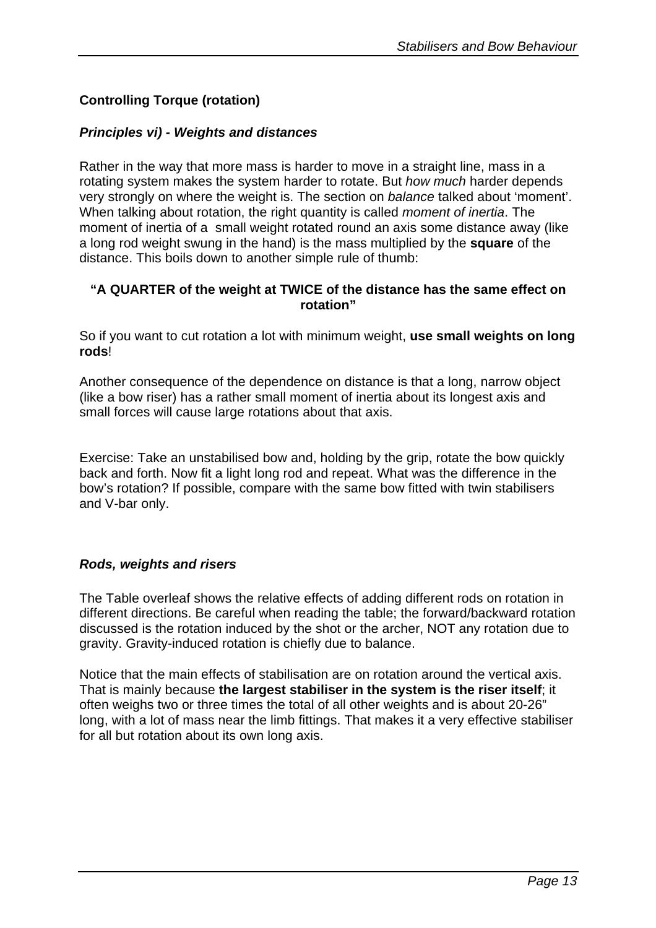## **Controlling Torque (rotation)**

## *Principles vi) - Weights and distances*

Rather in the way that more mass is harder to move in a straight line, mass in a rotating system makes the system harder to rotate. But *how much* harder depends very strongly on where the weight is. The section on *balance* talked about 'moment'. When talking about rotation, the right quantity is called *moment of inertia*. The moment of inertia of a small weight rotated round an axis some distance away (like a long rod weight swung in the hand) is the mass multiplied by the **square** of the distance. This boils down to another simple rule of thumb:

## **"A QUARTER of the weight at TWICE of the distance has the same effect on rotation"**

So if you want to cut rotation a lot with minimum weight, **use small weights on long rods**!

Another consequence of the dependence on distance is that a long, narrow object (like a bow riser) has a rather small moment of inertia about its longest axis and small forces will cause large rotations about that axis.

Exercise: Take an unstabilised bow and, holding by the grip, rotate the bow quickly back and forth. Now fit a light long rod and repeat. What was the difference in the bow's rotation? If possible, compare with the same bow fitted with twin stabilisers and V-bar only.

### *Rods, weights and risers*

The Table overleaf shows the relative effects of adding different rods on rotation in different directions. Be careful when reading the table; the forward/backward rotation discussed is the rotation induced by the shot or the archer, NOT any rotation due to gravity. Gravity-induced rotation is chiefly due to balance.

Notice that the main effects of stabilisation are on rotation around the vertical axis. That is mainly because **the largest stabiliser in the system is the riser itself**; it often weighs two or three times the total of all other weights and is about 20-26" long, with a lot of mass near the limb fittings. That makes it a very effective stabiliser for all but rotation about its own long axis.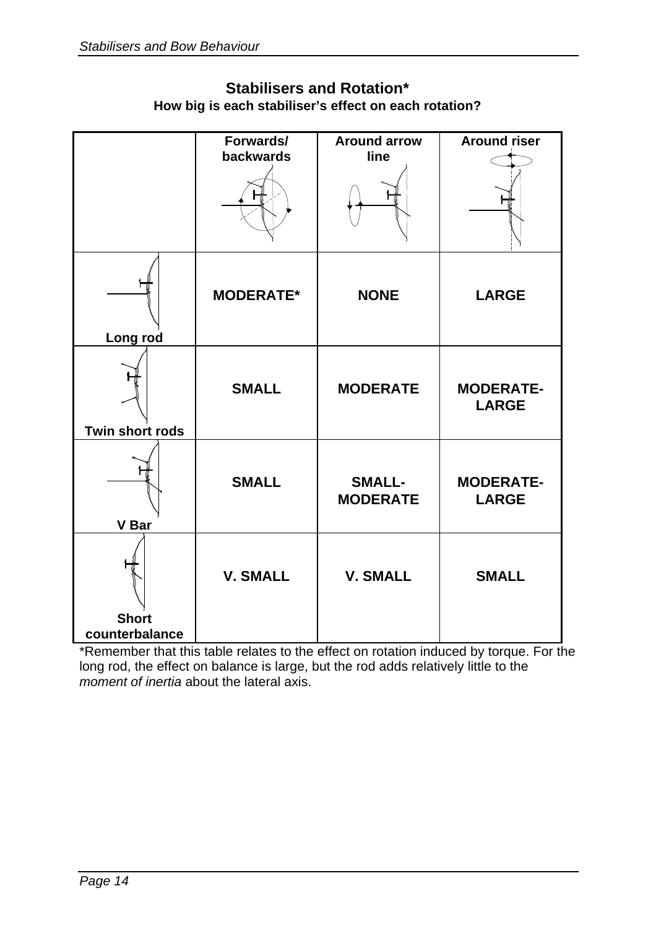| <b>Stabilisers and Rotation*</b>                      |
|-------------------------------------------------------|
| How big is each stabiliser's effect on each rotation? |

|                 | Forwards/<br>backwards | <b>Around arrow</b><br>line      | <b>Around riser</b>              |
|-----------------|------------------------|----------------------------------|----------------------------------|
|                 |                        |                                  |                                  |
|                 | <b>MODERATE*</b>       | <b>NONE</b>                      | <b>LARGE</b>                     |
| Long rod        |                        |                                  |                                  |
| Twin short rods | <b>SMALL</b>           | <b>MODERATE</b>                  | <b>MODERATE-</b><br><b>LARGE</b> |
| <b>V</b> Bar    | <b>SMALL</b>           | <b>SMALL-</b><br><b>MODERATE</b> | <b>MODERATE-</b><br><b>LARGE</b> |
| <b>Short</b>    | <b>V. SMALL</b>        | <b>V. SMALL</b>                  | <b>SMALL</b>                     |
| counterbalance  |                        |                                  |                                  |

\*Remember that this table relates to the effect on rotation induced by torque. For the long rod, the effect on balance is large, but the rod adds relatively little to the *moment of inertia* about the lateral axis.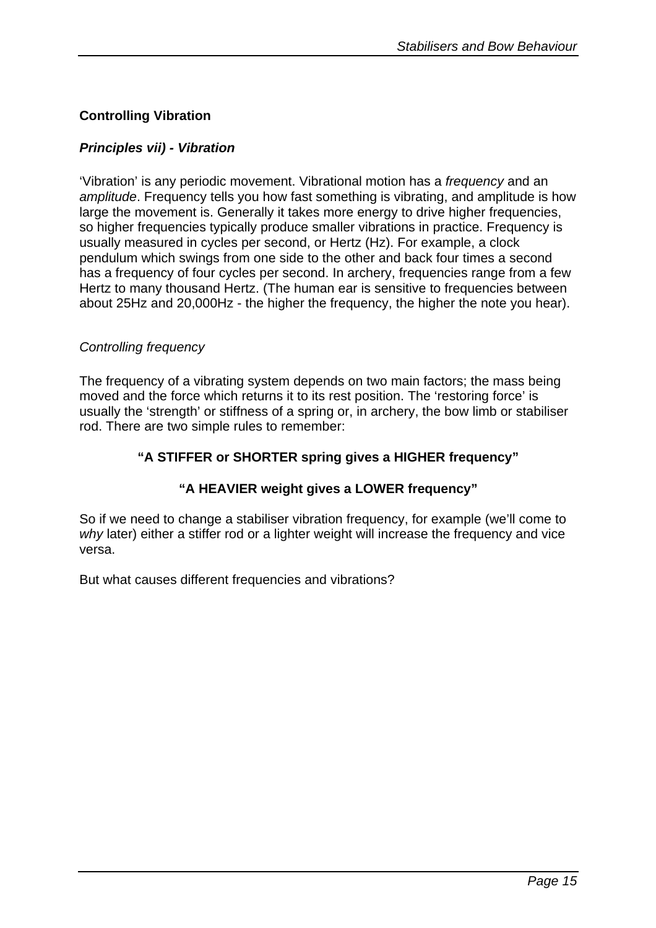## **Controlling Vibration**

## *Principles vii) - Vibration*

'Vibration' is any periodic movement. Vibrational motion has a *frequency* and an *amplitude*. Frequency tells you how fast something is vibrating, and amplitude is how large the movement is. Generally it takes more energy to drive higher frequencies, so higher frequencies typically produce smaller vibrations in practice. Frequency is usually measured in cycles per second, or Hertz (Hz). For example, a clock pendulum which swings from one side to the other and back four times a second has a frequency of four cycles per second. In archery, frequencies range from a few Hertz to many thousand Hertz. (The human ear is sensitive to frequencies between about 25Hz and 20,000Hz - the higher the frequency, the higher the note you hear).

### *Controlling frequency*

The frequency of a vibrating system depends on two main factors; the mass being moved and the force which returns it to its rest position. The 'restoring force' is usually the 'strength' or stiffness of a spring or, in archery, the bow limb or stabiliser rod. There are two simple rules to remember:

## **"A STIFFER or SHORTER spring gives a HIGHER frequency"**

## **"A HEAVIER weight gives a LOWER frequency"**

So if we need to change a stabiliser vibration frequency, for example (we'll come to *why* later) either a stiffer rod or a lighter weight will increase the frequency and vice versa.

But what causes different frequencies and vibrations?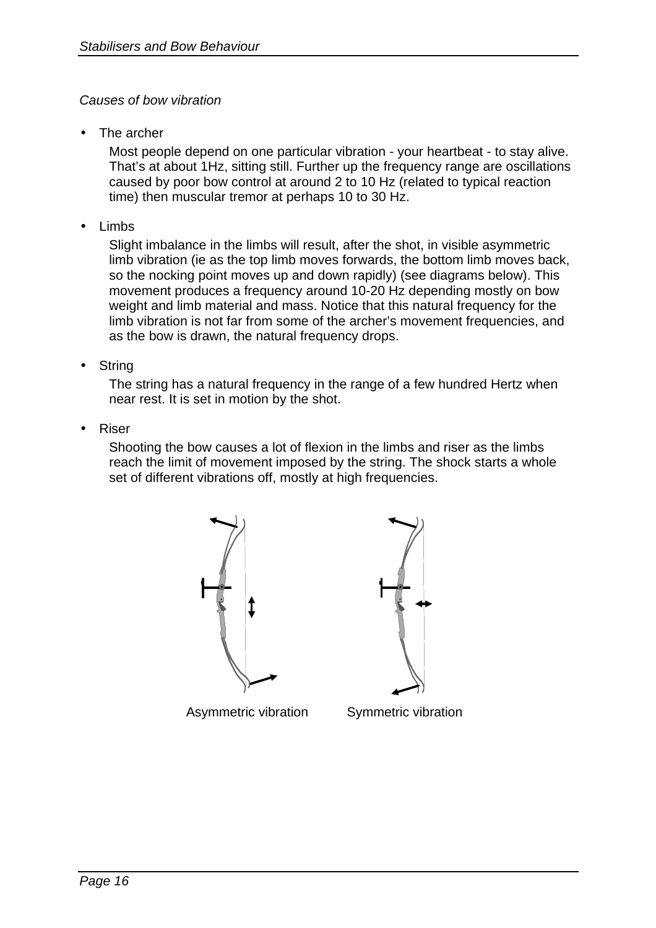## *Causes of bow vibration*

The archer

Most people depend on one particular vibration - your heartbeat - to stay alive. That's at about 1Hz, sitting still. Further up the frequency range are oscillations caused by poor bow control at around 2 to 10 Hz (related to typical reaction time) then muscular tremor at perhaps 10 to 30 Hz.

• Limbs

Slight imbalance in the limbs will result, after the shot, in visible asymmetric limb vibration (ie as the top limb moves forwards, the bottom limb moves back, so the nocking point moves up and down rapidly) (see diagrams below). This movement produces a frequency around 10-20 Hz depending mostly on bow weight and limb material and mass. Notice that this natural frequency for the limb vibration is not far from some of the archer's movement frequencies, and as the bow is drawn, the natural frequency drops.

**String** 

The string has a natural frequency in the range of a few hundred Hertz when near rest. It is set in motion by the shot.

• Riser

Shooting the bow causes a lot of flexion in the limbs and riser as the limbs reach the limit of movement imposed by the string. The shock starts a whole set of different vibrations off, mostly at high frequencies.





Asymmetric vibration Symmetric vibration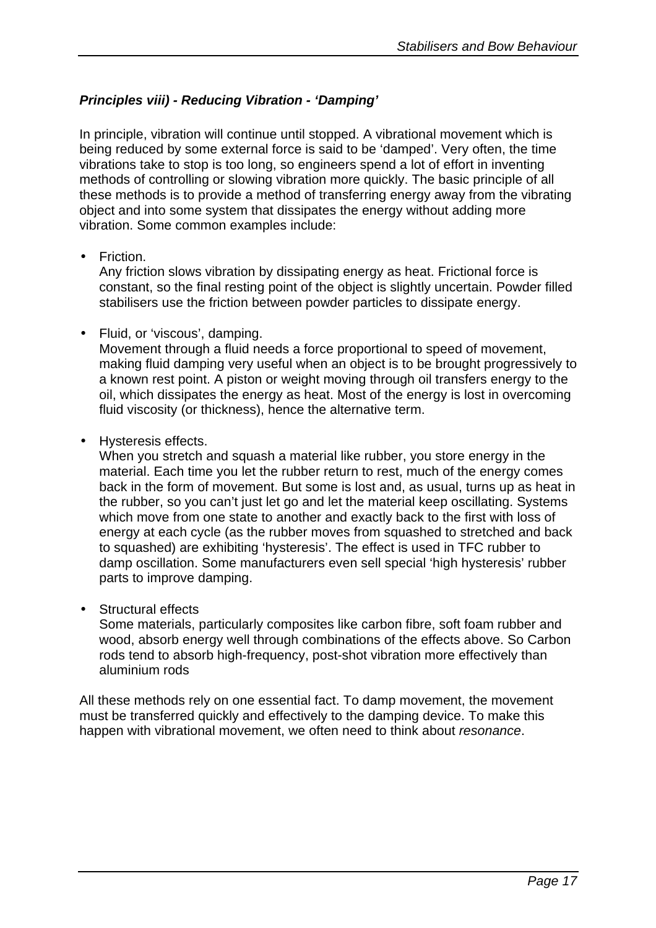## *Principles viii) - Reducing Vibration - 'Damping'*

In principle, vibration will continue until stopped. A vibrational movement which is being reduced by some external force is said to be 'damped'. Very often, the time vibrations take to stop is too long, so engineers spend a lot of effort in inventing methods of controlling or slowing vibration more quickly. The basic principle of all these methods is to provide a method of transferring energy away from the vibrating object and into some system that dissipates the energy without adding more vibration. Some common examples include:

• Friction.

Any friction slows vibration by dissipating energy as heat. Frictional force is constant, so the final resting point of the object is slightly uncertain. Powder filled stabilisers use the friction between powder particles to dissipate energy.

• Fluid, or 'viscous', damping.

Movement through a fluid needs a force proportional to speed of movement, making fluid damping very useful when an object is to be brought progressively to a known rest point. A piston or weight moving through oil transfers energy to the oil, which dissipates the energy as heat. Most of the energy is lost in overcoming fluid viscosity (or thickness), hence the alternative term.

• Hysteresis effects.

When you stretch and squash a material like rubber, you store energy in the material. Each time you let the rubber return to rest, much of the energy comes back in the form of movement. But some is lost and, as usual, turns up as heat in the rubber, so you can't just let go and let the material keep oscillating. Systems which move from one state to another and exactly back to the first with loss of energy at each cycle (as the rubber moves from squashed to stretched and back to squashed) are exhibiting 'hysteresis'. The effect is used in TFC rubber to damp oscillation. Some manufacturers even sell special 'high hysteresis' rubber parts to improve damping.

• Structural effects

Some materials, particularly composites like carbon fibre, soft foam rubber and wood, absorb energy well through combinations of the effects above. So Carbon rods tend to absorb high-frequency, post-shot vibration more effectively than aluminium rods

All these methods rely on one essential fact. To damp movement, the movement must be transferred quickly and effectively to the damping device. To make this happen with vibrational movement, we often need to think about *resonance*.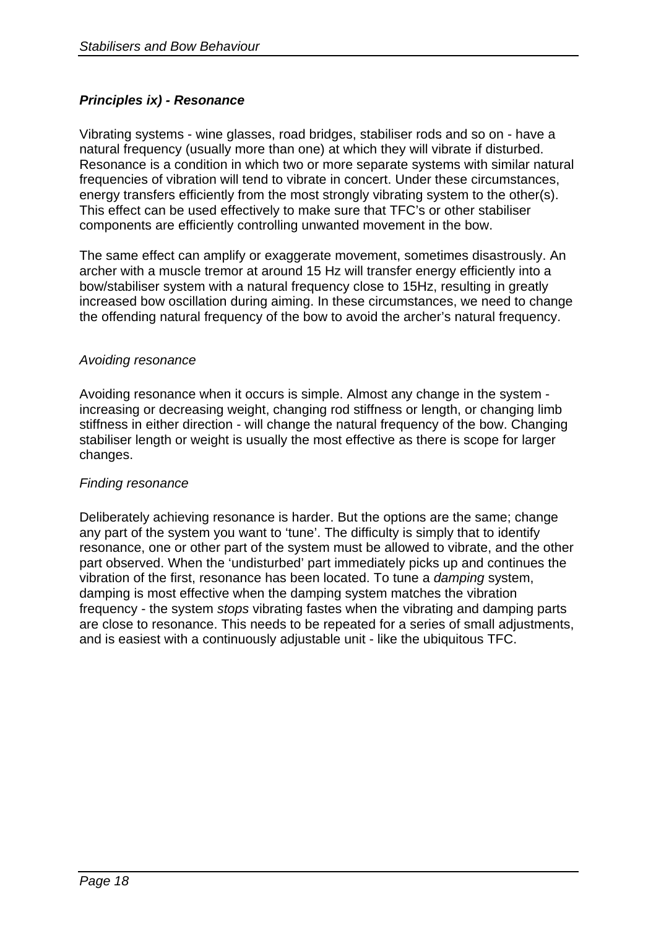## *Principles ix) - Resonance*

Vibrating systems - wine glasses, road bridges, stabiliser rods and so on - have a natural frequency (usually more than one) at which they will vibrate if disturbed. Resonance is a condition in which two or more separate systems with similar natural frequencies of vibration will tend to vibrate in concert. Under these circumstances, energy transfers efficiently from the most strongly vibrating system to the other(s). This effect can be used effectively to make sure that TFC's or other stabiliser components are efficiently controlling unwanted movement in the bow.

The same effect can amplify or exaggerate movement, sometimes disastrously. An archer with a muscle tremor at around 15 Hz will transfer energy efficiently into a bow/stabiliser system with a natural frequency close to 15Hz, resulting in greatly increased bow oscillation during aiming. In these circumstances, we need to change the offending natural frequency of the bow to avoid the archer's natural frequency.

### *Avoiding resonance*

Avoiding resonance when it occurs is simple. Almost any change in the system increasing or decreasing weight, changing rod stiffness or length, or changing limb stiffness in either direction - will change the natural frequency of the bow. Changing stabiliser length or weight is usually the most effective as there is scope for larger changes.

### *Finding resonance*

Deliberately achieving resonance is harder. But the options are the same; change any part of the system you want to 'tune'. The difficulty is simply that to identify resonance, one or other part of the system must be allowed to vibrate, and the other part observed. When the 'undisturbed' part immediately picks up and continues the vibration of the first, resonance has been located. To tune a *damping* system, damping is most effective when the damping system matches the vibration frequency - the system *stops* vibrating fastes when the vibrating and damping parts are close to resonance. This needs to be repeated for a series of small adjustments, and is easiest with a continuously adjustable unit - like the ubiquitous TFC.